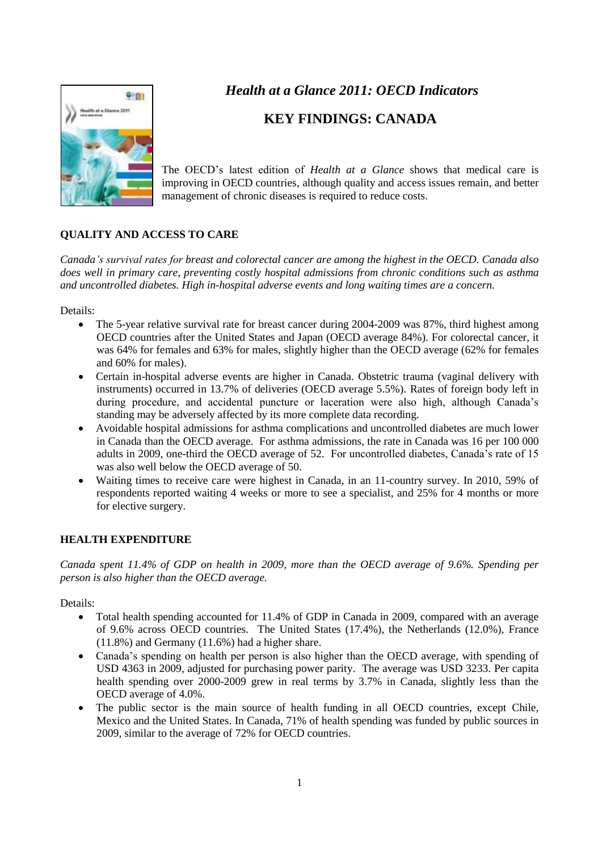

## *Health at a Glance 2011: OECD Indicators*

## **KEY FINDINGS: CANADA**

The OECD's latest edition of *Health at a Glance* shows that medical care is improving in OECD countries, although quality and access issues remain, and better management of chronic diseases is required to reduce costs.

## **QUALITY AND ACCESS TO CARE**

*Canada's survival rates for breast and colorectal cancer are among the highest in the OECD. Canada also does well in primary care, preventing costly hospital admissions from chronic conditions such as asthma and uncontrolled diabetes. High in-hospital adverse events and long waiting times are a concern.*

Details:

- The 5-year relative survival rate for breast cancer during 2004-2009 was 87%, third highest among OECD countries after the United States and Japan (OECD average 84%). For colorectal cancer, it was 64% for females and 63% for males, slightly higher than the OECD average (62% for females and 60% for males).
- Certain in-hospital adverse events are higher in Canada. Obstetric trauma (vaginal delivery with instruments) occurred in 13.7% of deliveries (OECD average 5.5%). Rates of foreign body left in during procedure, and accidental puncture or laceration were also high, although Canada's standing may be adversely affected by its more complete data recording.
- Avoidable hospital admissions for asthma complications and uncontrolled diabetes are much lower in Canada than the OECD average. For asthma admissions, the rate in Canada was 16 per 100 000 adults in 2009, one-third the OECD average of 52. For uncontrolled diabetes, Canada's rate of 15 was also well below the OECD average of 50.
- Waiting times to receive care were highest in Canada, in an 11-country survey. In 2010, 59% of respondents reported waiting 4 weeks or more to see a specialist, and 25% for 4 months or more for elective surgery.

## **HEALTH EXPENDITURE**

*Canada spent 11.4% of GDP on health in 2009, more than the OECD average of 9.6%. Spending per person is also higher than the OECD average.*

Details:

- Total health spending accounted for 11.4% of GDP in Canada in 2009, compared with an average of 9.6% across OECD countries. The United States (17.4%), the Netherlands (12.0%), France (11.8%) and Germany (11.6%) had a higher share.
- Canada's spending on health per person is also higher than the OECD average, with spending of USD 4363 in 2009, adjusted for purchasing power parity. The average was USD 3233. Per capita health spending over 2000-2009 grew in real terms by 3.7% in Canada, slightly less than the OECD average of 4.0%.
- The public sector is the main source of health funding in all OECD countries, except Chile, Mexico and the United States. In Canada, 71% of health spending was funded by public sources in 2009, similar to the average of 72% for OECD countries.